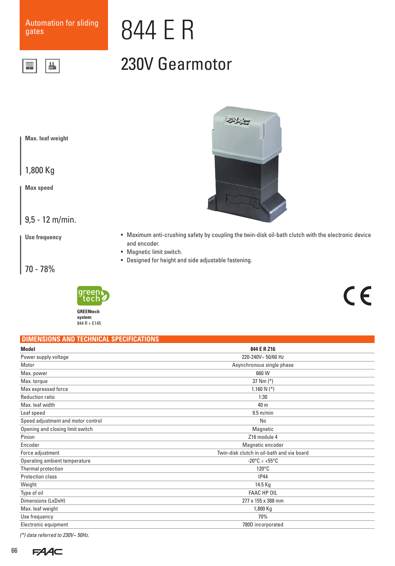쓰

▓

# 844 E R

### 230V Gearmotor

**Max. leaf weight**

1,800 Kg

**Max speed**

9,5 - 12 m/min.

**Use frequency**

70 - 78%



### • Maximum anti-crushing safety by coupling the twin-disk oil-bath clutch with the electronic device and encoder.

科友

- Magnetic limit switch.
- Designed for height and side adjustable fastening.

## $C \in$

| DIMENSIONS AND TECHNICAL SPECIFICATIONS |  |  |
|-----------------------------------------|--|--|
|                                         |  |  |

| 844 E R Z16                                |  |
|--------------------------------------------|--|
| 220-240V~ 50/60 Hz                         |  |
| Asynchronous single phase                  |  |
| 660 W                                      |  |
| 37 Nm $(*)$                                |  |
| 1.160 N $(*)$                              |  |
| 1:30                                       |  |
| 40 m                                       |  |
| $9.5$ m/min                                |  |
| No                                         |  |
| Magnetic                                   |  |
| Z16 module 4                               |  |
| Magnetic encoder                           |  |
| Twin-disk clutch in oil-bath and via board |  |
| $-20^{\circ}$ C $\div$ +55 $^{\circ}$ C    |  |
| $120^{\circ}$ C                            |  |
| <b>IP44</b>                                |  |
| 14.5 Kg                                    |  |
| FAAC HP OIL                                |  |
| 277 x 155 x 388 mm                         |  |
| 1,800 Kg                                   |  |
| 70%                                        |  |
| 780D incorporated                          |  |
|                                            |  |

*(\*) data referred to 230V~ 50Hz.*